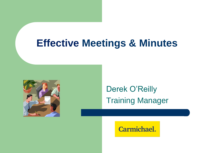### **Effective Meetings & Minutes**



Derek O'Reilly Training Manager

Carmichael.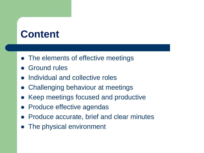## **Content**

- The elements of effective meetings
- Ground rules
- Individual and collective roles
- ⚫ Challenging behaviour at meetings
- ⚫ Keep meetings focused and productive
- ⚫ Produce effective agendas
- ⚫ Produce accurate, brief and clear minutes
- The physical environment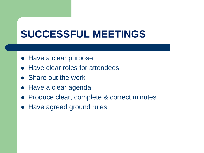## **SUCCESSFUL MEETINGS**

- ⚫ Have a clear purpose
- Have clear roles for attendees
- Share out the work
- ⚫ Have a clear agenda
- Produce clear, complete & correct minutes
- ⚫ Have agreed ground rules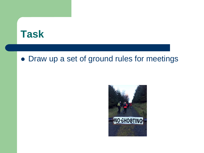### **Task**

#### ⚫ Draw up a set of ground rules for meetings

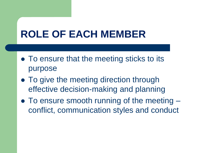## **ROLE OF EACH MEMBER**

- To ensure that the meeting sticks to its purpose
- To give the meeting direction through effective decision-making and planning
- To ensure smooth running of the meeting conflict, communication styles and conduct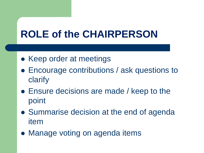# **ROLE of the CHAIRPERSON**

- Keep order at meetings
- Encourage contributions / ask questions to clarify
- ⚫ Ensure decisions are made / keep to the point
- Summarise decision at the end of agenda item
- ⚫ Manage voting on agenda items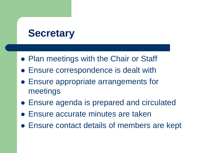## **Secretary**

- ⚫ Plan meetings with the Chair or Staff
- ⚫ Ensure correspondence is dealt with
- ⚫ Ensure appropriate arrangements for meetings
- ⚫ Ensure agenda is prepared and circulated
- ⚫ Ensure accurate minutes are taken
- ⚫ Ensure contact details of members are kept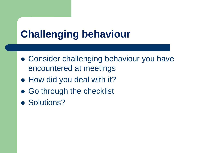# **Challenging behaviour**

- Consider challenging behaviour you have encountered at meetings
- How did you deal with it?
- Go through the checklist
- Solutions?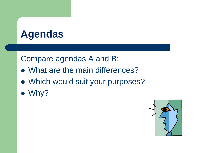## **Agendas**

#### Compare agendas A and B:

- ⚫ What are the main differences?
- ⚫ Which would suit your purposes?
- ⚫ Why?

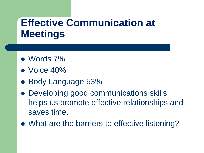# **Effective Communication at Meetings**

- ⚫ Words 7%
- ⚫ Voice 40%
- ⚫ Body Language 53%
- ⚫ Developing good communications skills helps us promote effective relationships and saves time.
- What are the barriers to effective listening?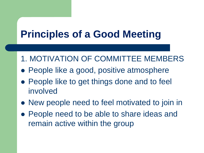- 1. MOTIVATION OF COMMITTEE MEMBERS
- People like a good, positive atmosphere
- People like to get things done and to feel involved
- ⚫ New people need to feel motivated to join in
- People need to be able to share ideas and remain active within the group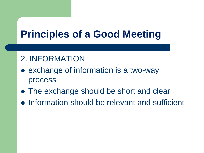#### 2. INFORMATION

- exchange of information is a two-way process
- The exchange should be short and clear
- ⚫ Information should be relevant and sufficient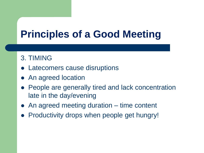#### 3. TIMING

- Latecomers cause disruptions
- ⚫ An agreed location
- ⚫ People are generally tired and lack concentration late in the day/evening
- ⚫ An agreed meeting duration time content
- ⚫ Productivity drops when people get hungry!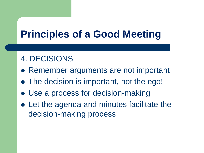#### 4. DECISIONS

- Remember arguments are not important
- The decision is important, not the ego!
- ⚫ Use a process for decision-making
- ⚫ Let the agenda and minutes facilitate the decision-making process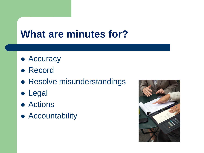## **What are minutes for?**

- ⚫ Accuracy
- ⚫ Record
- ⚫ Resolve misunderstandings
- ⚫ Legal
- ⚫ Actions
- ⚫ Accountability

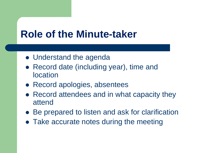### **Role of the Minute-taker**

- Understand the agenda
- Record date (including year), time and location
- Record apologies, absentees
- Record attendees and in what capacity they attend
- Be prepared to listen and ask for clarification
- Take accurate notes during the meeting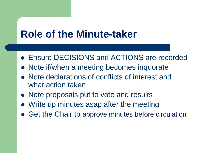## **Role of the Minute-taker**

- ⚫ Ensure DECISIONS and ACTIONS are recorded
- Note if/when a meeting becomes inquorate
- ⚫ Note declarations of conflicts of interest and what action taken
- Note proposals put to vote and results
- ⚫ Write up minutes asap after the meeting
- Get the Chair to approve minutes before circulation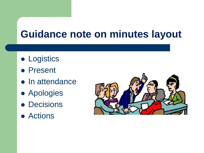## **Guidance note on minutes layout**

- ⚫ Logistics
- ⚫ Present
- ⚫ In attendance
- ⚫ Apologies
- ⚫ Decisions
- ⚫ Actions

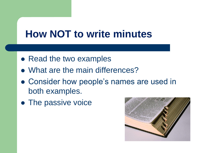## **How NOT to write minutes**

- Read the two examples
- ⚫ What are the main differences?
- ⚫ Consider how people's names are used in both examples.
- ⚫ The passive voice

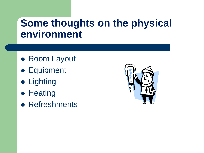### **Some thoughts on the physical environment**

- ⚫ Room Layout
- ⚫ Equipment
- ⚫ Lighting
- ⚫ Heating
- ⚫ Refreshments

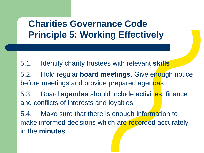### **Charities Governance Code Principle 5: Working Effectively**

5.1. Identify charity trustees with relevant **skills**

5.2. Hold regular **board meetings**. Give enough notice before meetings and provide prepared agendas

5.3. Board **agendas** should include activities, finance and conflicts of interests and loyalties

5.4. Make sure that there is enough information to make informed decisions which are recorded accurately in the **minutes**